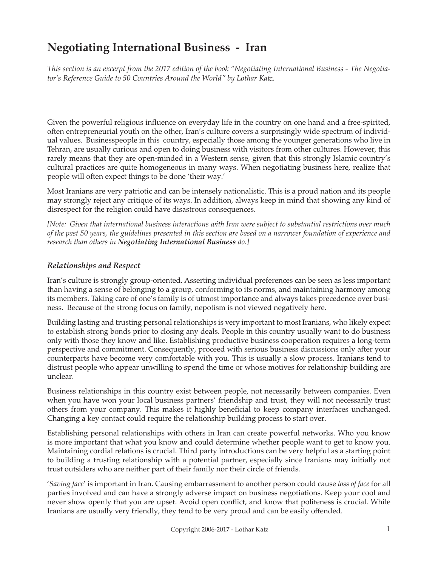# **Negotiating International Business - Iran**

*This section is an excerpt from the 2017 edition of the book "Negotiating International Business - The Negotiator's Reference Guide to 50 Countries Around the World" by Lothar Katz.*

Given the powerful religious influence on everyday life in the country on one hand and a free-spirited, often entrepreneurial youth on the other, Iran's culture covers a surprisingly wide spectrum of individual values. Businesspeople in this country, especially those among the younger generations who live in Tehran, are usually curious and open to doing business with visitors from other cultures. However, this rarely means that they are open-minded in a Western sense, given that this strongly Islamic country's cultural practices are quite homogeneous in many ways. When negotiating business here, realize that people will often expect things to be done 'their way.'

Most Iranians are very patriotic and can be intensely nationalistic. This is a proud nation and its people may strongly reject any critique of its ways. In addition, always keep in mind that showing any kind of disrespect for the religion could have disastrous consequences.

*[Note: Given that international business interactions with Iran were subject to substantial restrictions over much of the past 50 years, the guidelines presented in this section are based on a narrower foundation of experience and research than others in Negotiating International Business do.]*

## *Relationships and Respect*

Iran's culture is strongly group-oriented. Asserting individual preferences can be seen as less important than having a sense of belonging to a group, conforming to its norms, and maintaining harmony among its members. Taking care of one's family is of utmost importance and always takes precedence over business. Because of the strong focus on family, nepotism is not viewed negatively here.

Building lasting and trusting personal relationships is very important to most Iranians, who likely expect to establish strong bonds prior to closing any deals. People in this country usually want to do business only with those they know and like. Establishing productive business cooperation requires a long-term perspective and commitment. Consequently, proceed with serious business discussions only after your counterparts have become very comfortable with you. This is usually a slow process. Iranians tend to distrust people who appear unwilling to spend the time or whose motives for relationship building are unclear.

Business relationships in this country exist between people, not necessarily between companies. Even when you have won your local business partners' friendship and trust, they will not necessarily trust others from your company. This makes it highly beneficial to keep company interfaces unchanged. Changing a key contact could require the relationship building process to start over.

Establishing personal relationships with others in Iran can create powerful networks. Who you know is more important that what you know and could determine whether people want to get to know you. Maintaining cordial relations is crucial. Third party introductions can be very helpful as a starting point to building a trusting relationship with a potential partner, especially since Iranians may initially not trust outsiders who are neither part of their family nor their circle of friends.

'*Saving face*' is important in Iran. Causing embarrassment to another person could cause *loss of face* for all parties involved and can have a strongly adverse impact on business negotiations. Keep your cool and never show openly that you are upset. Avoid open conflict, and know that politeness is crucial. While Iranians are usually very friendly, they tend to be very proud and can be easily offended.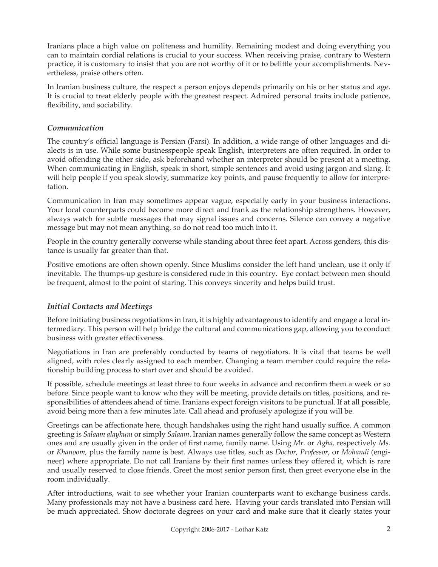Iranians place a high value on politeness and humility. Remaining modest and doing everything you can to maintain cordial relations is crucial to your success. When receiving praise, contrary to Western practice, it is customary to insist that you are not worthy of it or to belittle your accomplishments. Nevertheless, praise others often.

In Iranian business culture, the respect a person enjoys depends primarily on his or her status and age. It is crucial to treat elderly people with the greatest respect. Admired personal traits include patience, flexibility, and sociability.

#### *Communication*

The country's official language is Persian (Farsi). In addition, a wide range of other languages and dialects is in use. While some businesspeople speak English, interpreters are often required. In order to avoid offending the other side, ask beforehand whether an interpreter should be present at a meeting. When communicating in English, speak in short, simple sentences and avoid using jargon and slang. It will help people if you speak slowly, summarize key points, and pause frequently to allow for interpretation.

Communication in Iran may sometimes appear vague, especially early in your business interactions. Your local counterparts could become more direct and frank as the relationship strengthens. However, always watch for subtle messages that may signal issues and concerns. Silence can convey a negative message but may not mean anything, so do not read too much into it.

People in the country generally converse while standing about three feet apart. Across genders, this distance is usually far greater than that.

Positive emotions are often shown openly. Since Muslims consider the left hand unclean, use it only if inevitable. The thumps-up gesture is considered rude in this country. Eye contact between men should be frequent, almost to the point of staring. This conveys sincerity and helps build trust.

# *Initial Contacts and Meetings*

Before initiating business negotiations in Iran, it is highly advantageous to identify and engage a local intermediary. This person will help bridge the cultural and communications gap, allowing you to conduct business with greater effectiveness.

Negotiations in Iran are preferably conducted by teams of negotiators. It is vital that teams be well aligned, with roles clearly assigned to each member. Changing a team member could require the relationship building process to start over and should be avoided.

If possible, schedule meetings at least three to four weeks in advance and reconfirm them a week or so before. Since people want to know who they will be meeting, provide details on titles, positions, and responsibilities of attendees ahead of time. Iranians expect foreign visitors to be punctual. If at all possible, avoid being more than a few minutes late. Call ahead and profusely apologize if you will be.

Greetings can be affectionate here, though handshakes using the right hand usually suffice. A common greeting is *Salaam alaykum* or simply *Salaam*. Iranian names generally follow the same concept as Western ones and are usually given in the order of first name, family name. Using *Mr.* or *Agha,* respectively *Ms.*  or *Khanoom,* plus the family name is best. Always use titles, such as *Doctor, Professor*, or *Mohandi* (engineer) where appropriate. Do not call Iranians by their first names unless they offered it, which is rare and usually reserved to close friends. Greet the most senior person first, then greet everyone else in the room individually.

After introductions, wait to see whether your Iranian counterparts want to exchange business cards. Many professionals may not have a business card here. Having your cards translated into Persian will be much appreciated. Show doctorate degrees on your card and make sure that it clearly states your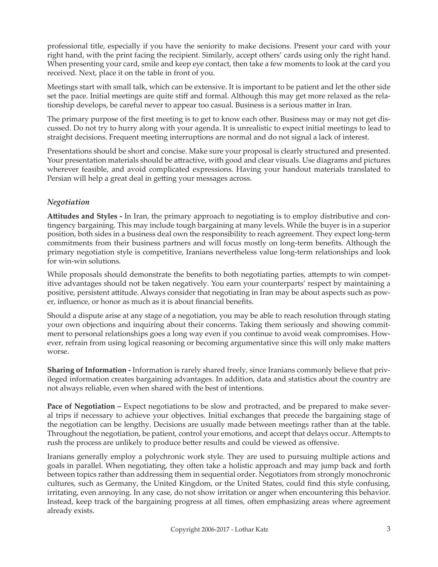professional title, especially if you have the seniority to make decisions. Present your card with your right hand, with the print facing the recipient. Similarly, accept others' cards using only the right hand. When presenting your card, smile and keep eye contact, then take a few moments to look at the card you received. Next, place it on the table in front of you.

Meetings start with small talk, which can be extensive. It is important to be patient and let the other side set the pace. Initial meetings are quite stiff and formal. Although this may get more relaxed as the relationship develops, be careful never to appear too casual. Business is a serious matter in Iran.

The primary purpose of the first meeting is to get to know each other. Business may or may not get discussed. Do not try to hurry along with your agenda. It is unrealistic to expect initial meetings to lead to straight decisions. Frequent meeting interruptions are normal and do not signal a lack of interest.

Presentations should be short and concise. Make sure your proposal is clearly structured and presented. Your presentation materials should be attractive, with good and clear visuals. Use diagrams and pictures wherever feasible, and avoid complicated expressions. Having your handout materials translated to Persian will help a great deal in getting your messages across.

## *Negotiation*

**Attitudes and Styles -** In Iran, the primary approach to negotiating is to employ distributive and contingency bargaining. This may include tough bargaining at many levels. While the buyer is in a superior position, both sides in a business deal own the responsibility to reach agreement. They expect long-term commitments from their business partners and will focus mostly on long-term benefits. Although the primary negotiation style is competitive, Iranians nevertheless value long-term relationships and look for win-win solutions.

While proposals should demonstrate the benefits to both negotiating parties, attempts to win competitive advantages should not be taken negatively. You earn your counterparts' respect by maintaining a positive, persistent attitude. Always consider that negotiating in Iran may be about aspects such as power, influence, or honor as much as it is about financial benefits.

Should a dispute arise at any stage of a negotiation, you may be able to reach resolution through stating your own objections and inquiring about their concerns. Taking them seriously and showing commitment to personal relationships goes a long way even if you continue to avoid weak compromises. However, refrain from using logical reasoning or becoming argumentative since this will only make matters worse.

**Sharing of Information -** Information is rarely shared freely, since Iranians commonly believe that privileged information creates bargaining advantages. In addition, data and statistics about the country are not always reliable, even when shared with the best of intentions.

**Pace of Negotiation – Expect negotiations to be slow and protracted, and be prepared to make sever**al trips if necessary to achieve your objectives. Initial exchanges that precede the bargaining stage of the negotiation can be lengthy. Decisions are usually made between meetings rather than at the table. Throughout the negotiation, be patient, control your emotions, and accept that delays occur. Attempts to rush the process are unlikely to produce better results and could be viewed as offensive.

Iranians generally employ a polychronic work style. They are used to pursuing multiple actions and goals in parallel. When negotiating, they often take a holistic approach and may jump back and forth between topics rather than addressing them in sequential order. Negotiators from strongly monochronic cultures, such as Germany, the United Kingdom, or the United States, could find this style confusing, irritating, even annoying. In any case, do not show irritation or anger when encountering this behavior. Instead, keep track of the bargaining progress at all times, often emphasizing areas where agreement already exists.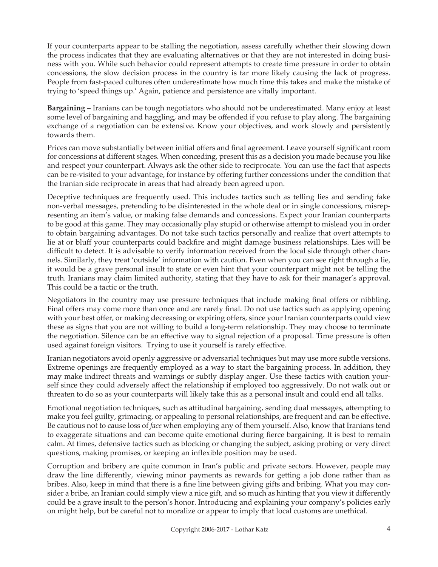If your counterparts appear to be stalling the negotiation, assess carefully whether their slowing down the process indicates that they are evaluating alternatives or that they are not interested in doing business with you. While such behavior could represent attempts to create time pressure in order to obtain concessions, the slow decision process in the country is far more likely causing the lack of progress. People from fast-paced cultures often underestimate how much time this takes and make the mistake of trying to 'speed things up.' Again, patience and persistence are vitally important.

**Bargaining –** Iranians can be tough negotiators who should not be underestimated. Many enjoy at least some level of bargaining and haggling, and may be offended if you refuse to play along. The bargaining exchange of a negotiation can be extensive. Know your objectives, and work slowly and persistently towards them.

Prices can move substantially between initial offers and final agreement. Leave yourself significant room for concessions at different stages. When conceding, present this as a decision you made because you like and respect your counterpart. Always ask the other side to reciprocate. You can use the fact that aspects can be re-visited to your advantage, for instance by offering further concessions under the condition that the Iranian side reciprocate in areas that had already been agreed upon.

Deceptive techniques are frequently used. This includes tactics such as telling lies and sending fake non-verbal messages, pretending to be disinterested in the whole deal or in single concessions, misrepresenting an item's value, or making false demands and concessions. Expect your Iranian counterparts to be good at this game. They may occasionally play stupid or otherwise attempt to mislead you in order to obtain bargaining advantages. Do not take such tactics personally and realize that overt attempts to lie at or bluff your counterparts could backfire and might damage business relationships. Lies will be difficult to detect. It is advisable to verify information received from the local side through other channels. Similarly, they treat 'outside' information with caution. Even when you can see right through a lie, it would be a grave personal insult to state or even hint that your counterpart might not be telling the truth. Iranians may claim limited authority, stating that they have to ask for their manager's approval. This could be a tactic or the truth.

Negotiators in the country may use pressure techniques that include making final offers or nibbling. Final offers may come more than once and are rarely final. Do not use tactics such as applying opening with your best offer, or making decreasing or expiring offers, since your Iranian counterparts could view these as signs that you are not willing to build a long-term relationship. They may choose to terminate the negotiation. Silence can be an effective way to signal rejection of a proposal. Time pressure is often used against foreign visitors. Trying to use it yourself is rarely effective.

Iranian negotiators avoid openly aggressive or adversarial techniques but may use more subtle versions. Extreme openings are frequently employed as a way to start the bargaining process. In addition, they may make indirect threats and warnings or subtly display anger. Use these tactics with caution yourself since they could adversely affect the relationship if employed too aggressively. Do not walk out or threaten to do so as your counterparts will likely take this as a personal insult and could end all talks.

Emotional negotiation techniques, such as attitudinal bargaining, sending dual messages, attempting to make you feel guilty, grimacing, or appealing to personal relationships, are frequent and can be effective. Be cautious not to cause loss of *face* when employing any of them yourself. Also, know that Iranians tend to exaggerate situations and can become quite emotional during fierce bargaining. It is best to remain calm. At times, defensive tactics such as blocking or changing the subject, asking probing or very direct questions, making promises, or keeping an inflexible position may be used.

Corruption and bribery are quite common in Iran's public and private sectors. However, people may draw the line differently, viewing minor payments as rewards for getting a job done rather than as bribes. Also, keep in mind that there is a fine line between giving gifts and bribing. What you may consider a bribe, an Iranian could simply view a nice gift, and so much as hinting that you view it differently could be a grave insult to the person's honor. Introducing and explaining your company's policies early on might help, but be careful not to moralize or appear to imply that local customs are unethical.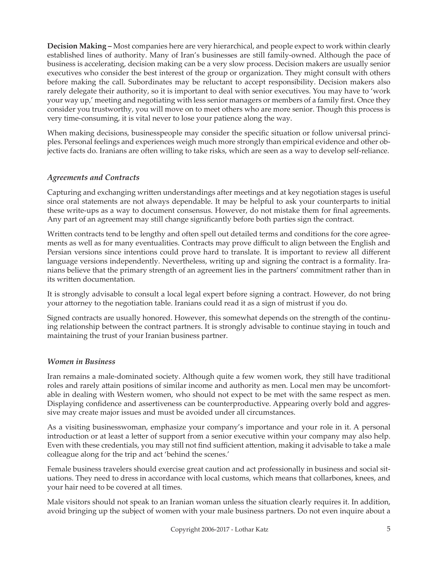**Decision Making –** Most companies here are very hierarchical, and people expect to work within clearly established lines of authority. Many of Iran's businesses are still family-owned. Although the pace of business is accelerating, decision making can be a very slow process. Decision makers are usually senior executives who consider the best interest of the group or organization. They might consult with others before making the call. Subordinates may be reluctant to accept responsibility. Decision makers also rarely delegate their authority, so it is important to deal with senior executives. You may have to 'work your way up,' meeting and negotiating with less senior managers or members of a family first. Once they consider you trustworthy, you will move on to meet others who are more senior. Though this process is very time-consuming, it is vital never to lose your patience along the way.

When making decisions, businesspeople may consider the specific situation or follow universal principles. Personal feelings and experiences weigh much more strongly than empirical evidence and other objective facts do. Iranians are often willing to take risks, which are seen as a way to develop self-reliance.

#### *Agreements and Contracts*

Capturing and exchanging written understandings after meetings and at key negotiation stages is useful since oral statements are not always dependable. It may be helpful to ask your counterparts to initial these write-ups as a way to document consensus. However, do not mistake them for final agreements. Any part of an agreement may still change significantly before both parties sign the contract.

Written contracts tend to be lengthy and often spell out detailed terms and conditions for the core agreements as well as for many eventualities. Contracts may prove difficult to align between the English and Persian versions since intentions could prove hard to translate. It is important to review all different language versions independently. Nevertheless, writing up and signing the contract is a formality. Iranians believe that the primary strength of an agreement lies in the partners' commitment rather than in its written documentation.

It is strongly advisable to consult a local legal expert before signing a contract. However, do not bring your attorney to the negotiation table. Iranians could read it as a sign of mistrust if you do.

Signed contracts are usually honored. However, this somewhat depends on the strength of the continuing relationship between the contract partners. It is strongly advisable to continue staying in touch and maintaining the trust of your Iranian business partner.

#### *Women in Business*

Iran remains a male-dominated society. Although quite a few women work, they still have traditional roles and rarely attain positions of similar income and authority as men. Local men may be uncomfortable in dealing with Western women, who should not expect to be met with the same respect as men. Displaying confidence and assertiveness can be counterproductive. Appearing overly bold and aggressive may create major issues and must be avoided under all circumstances.

As a visiting businesswoman, emphasize your company's importance and your role in it. A personal introduction or at least a letter of support from a senior executive within your company may also help. Even with these credentials, you may still not find sufficient attention, making it advisable to take a male colleague along for the trip and act 'behind the scenes.'

Female business travelers should exercise great caution and act professionally in business and social situations. They need to dress in accordance with local customs, which means that collarbones, knees, and your hair need to be covered at all times.

Male visitors should not speak to an Iranian woman unless the situation clearly requires it. In addition, avoid bringing up the subject of women with your male business partners. Do not even inquire about a